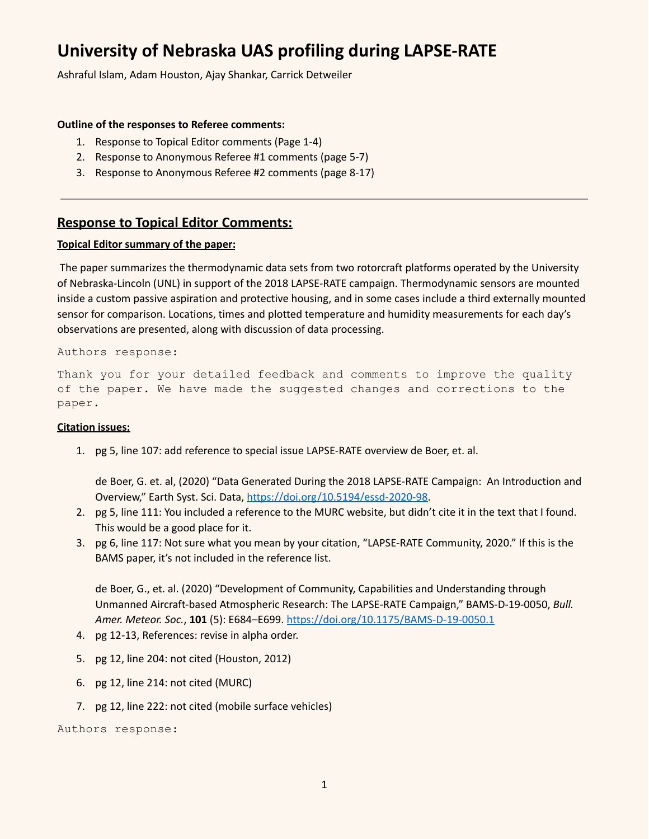# **University of Nebraska UAS profiling during LAPSE-RATE**

Ashraful Islam, Adam Houston, Ajay Shankar, Carrick Detweiler

# **Outline of the responses to Referee comments:**

- 1. Response to Topical Editor comments (Page 1-4)
- 2. Response to Anonymous Referee #1 comments (page 5-7)
- 3. Response to Anonymous Referee #2 comments (page 8-17)

# **Response to Topical Editor Comments:**

# **Topical Editor summary of the paper:**

The paper summarizes the thermodynamic data sets from two rotorcraft platforms operated by the University of Nebraska-Lincoln (UNL) in support of the 2018 LAPSE-RATE campaign. Thermodynamic sensors are mounted inside a custom passive aspiration and protective housing, and in some cases include a third externally mounted sensor for comparison. Locations, times and plotted temperature and humidity measurements for each day's observations are presented, along with discussion of data processing.

# Authors response:

Thank you for your detailed feedback and comments to improve the quality of the paper. We have made the suggested changes and corrections to the paper.

# **Citation issues:**

1. pg 5, line 107: add reference to special issue LAPSE-RATE overview de Boer, et. al.

de Boer, G. et. al, (2020) "Data Generated During the 2018 LAPSE-RATE Campaign: An Introduction and Overview," Earth Syst. Sci. Data, [https://doi.org/10.5194/essd-2020-98.](https://doi.org/10.5194/essd-2020-98)

- 2. pg 5, line 111: You included a reference to the MURC website, but didn't cite it in the text that I found. This would be a good place for it.
- 3. pg 6, line 117: Not sure what you mean by your citation, "LAPSE-RATE Community, 2020." If this is the BAMS paper, it's not included in the reference list.

de Boer, G., et. al. (2020) "Development of Community, Capabilities and Understanding through Unmanned Aircraft-based Atmospheric Research: The LAPSE-RATE Campaign," BAMS-D-19-0050, *Bull. Amer. Meteor. Soc.*, **101** (5): E684–E699. <https://doi.org/10.1175/BAMS-D-19-0050.1>

- 4. pg 12-13, References: revise in alpha order.
- 5. pg 12, line 204: not cited (Houston, 2012)
- 6. pg 12, line 214: not cited (MURC)
- 7. pg 12, line 222: not cited (mobile surface vehicles)

Authors response: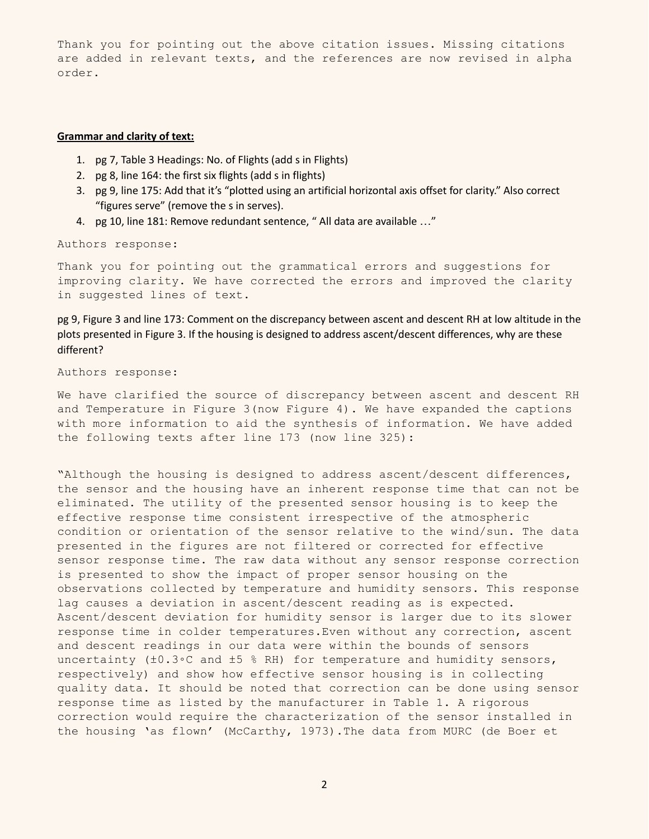Thank you for pointing out the above citation issues. Missing citations are added in relevant texts, and the references are now revised in alpha order.

#### **Grammar and clarity of text:**

- 1. pg 7, Table 3 Headings: No. of Flights (add s in Flights)
- 2. pg 8, line 164: the first six flights (add s in flights)
- 3. pg 9, line 175: Add that it's "plotted using an artificial horizontal axis offset for clarity." Also correct "figures serve" (remove the s in serves).
- 4. pg 10, line 181: Remove redundant sentence, " All data are available ..."

Authors response:

Thank you for pointing out the grammatical errors and suggestions for improving clarity. We have corrected the errors and improved the clarity in suggested lines of text.

pg 9, Figure 3 and line 173: Comment on the discrepancy between ascent and descent RH at low altitude in the plots presented in Figure 3. If the housing is designed to address ascent/descent differences, why are these different?

Authors response:

We have clarified the source of discrepancy between ascent and descent RH and Temperature in Figure 3(now Figure 4). We have expanded the captions with more information to aid the synthesis of information. We have added the following texts after line 173 (now line 325):

"Although the housing is designed to address ascent/descent differences, the sensor and the housing have an inherent response time that can not be eliminated. The utility of the presented sensor housing is to keep the effective response time consistent irrespective of the atmospheric condition or orientation of the sensor relative to the wind/sun. The data presented in the figures are not filtered or corrected for effective sensor response time. The raw data without any sensor response correction is presented to show the impact of proper sensor housing on the observations collected by temperature and humidity sensors. This response lag causes a deviation in ascent/descent reading as is expected. Ascent/descent deviation for humidity sensor is larger due to its slower response time in colder temperatures.Even without any correction, ascent and descent readings in our data were within the bounds of sensors uncertainty (±0.3◦C and ±5 % RH) for temperature and humidity sensors, respectively) and show how effective sensor housing is in collecting quality data. It should be noted that correction can be done using sensor response time as listed by the manufacturer in Table 1. A rigorous correction would require the characterization of the sensor installed in the housing 'as flown' (McCarthy, 1973).The data from MURC (de Boer et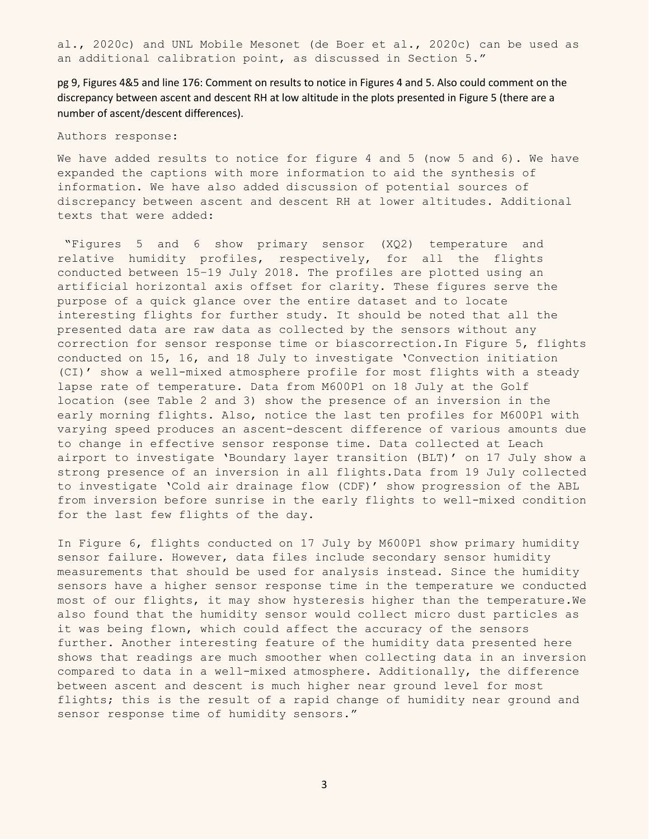al., 2020c) and UNL Mobile Mesonet (de Boer et al., 2020c) can be used as an additional calibration point, as discussed in Section 5."

pg 9, Figures 4&5 and line 176: Comment on results to notice in Figures 4 and 5. Also could comment on the discrepancy between ascent and descent RH at low altitude in the plots presented in Figure 5 (there are a number of ascent/descent differences).

Authors response:

We have added results to notice for figure 4 and 5 (now 5 and 6). We have expanded the captions with more information to aid the synthesis of information. We have also added discussion of potential sources of discrepancy between ascent and descent RH at lower altitudes. Additional texts that were added:

"Figures 5 and 6 show primary sensor (XQ2) temperature and relative humidity profiles, respectively, for all the flights conducted between 15–19 July 2018. The profiles are plotted using an artificial horizontal axis offset for clarity. These figures serve the purpose of a quick glance over the entire dataset and to locate interesting flights for further study. It should be noted that all the presented data are raw data as collected by the sensors without any correction for sensor response time or biascorrection.In Figure 5, flights conducted on 15, 16, and 18 July to investigate 'Convection initiation (CI)' show a well-mixed atmosphere profile for most flights with a steady lapse rate of temperature. Data from M600P1 on 18 July at the Golf location (see Table 2 and 3) show the presence of an inversion in the early morning flights. Also, notice the last ten profiles for M600P1 with varying speed produces an ascent-descent difference of various amounts due to change in effective sensor response time. Data collected at Leach airport to investigate 'Boundary layer transition (BLT)' on 17 July show a strong presence of an inversion in all flights.Data from 19 July collected to investigate 'Cold air drainage flow (CDF)' show progression of the ABL from inversion before sunrise in the early flights to well-mixed condition for the last few flights of the day.

In Figure 6, flights conducted on 17 July by M600P1 show primary humidity sensor failure. However, data files include secondary sensor humidity measurements that should be used for analysis instead. Since the humidity sensors have a higher sensor response time in the temperature we conducted most of our flights, it may show hysteresis higher than the temperature.We also found that the humidity sensor would collect micro dust particles as it was being flown, which could affect the accuracy of the sensors further. Another interesting feature of the humidity data presented here shows that readings are much smoother when collecting data in an inversion compared to data in a well-mixed atmosphere. Additionally, the difference between ascent and descent is much higher near ground level for most flights; this is the result of a rapid change of humidity near ground and sensor response time of humidity sensors."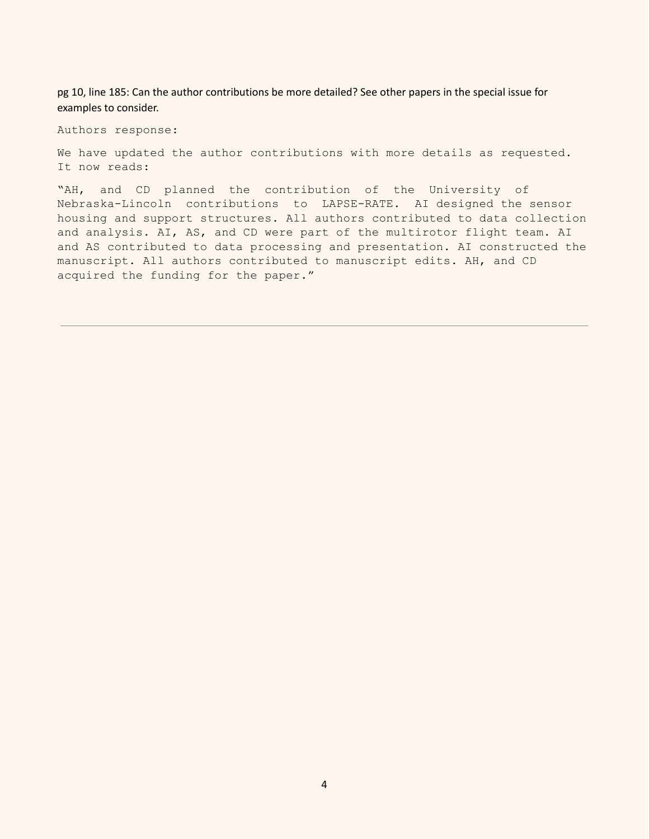pg 10, line 185: Can the author contributions be more detailed? See other papers in the special issue for examples to consider.

Authors response:

We have updated the author contributions with more details as requested. It now reads:

"AH, and CD planned the contribution of the University of Nebraska-Lincoln contributions to LAPSE-RATE. AI designed the sensor housing and support structures. All authors contributed to data collection and analysis. AI, AS, and CD were part of the multirotor flight team. AI and AS contributed to data processing and presentation. AI constructed the manuscript. All authors contributed to manuscript edits. AH, and CD acquired the funding for the paper."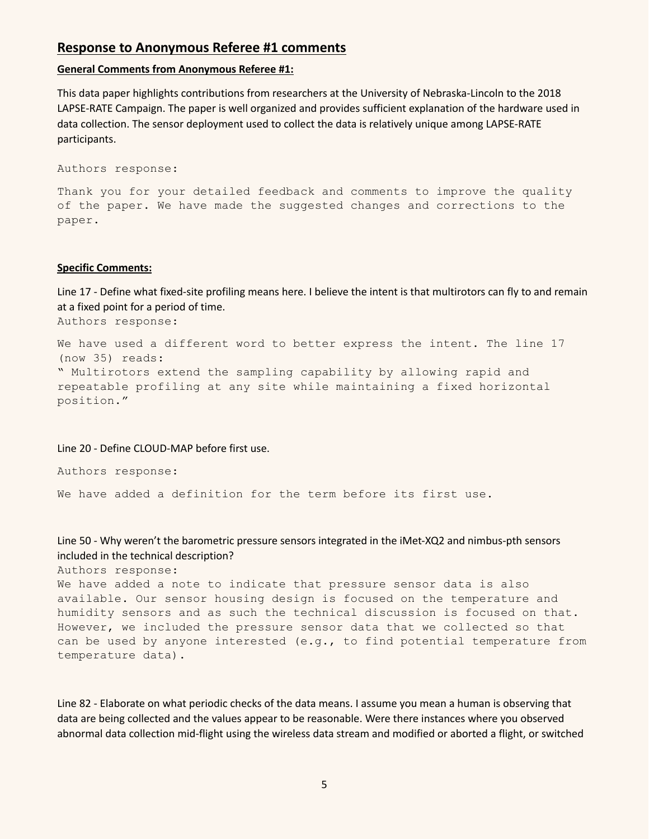# **Response to Anonymous Referee #1 comments**

#### **General Comments from Anonymous Referee #1:**

This data paper highlights contributions from researchers at the University of Nebraska-Lincoln to the 2018 LAPSE-RATE Campaign. The paper is well organized and provides sufficient explanation of the hardware used in data collection. The sensor deployment used to collect the data is relatively unique among LAPSE-RATE participants.

```
Authors response:
```
Thank you for your detailed feedback and comments to improve the quality of the paper. We have made the suggested changes and corrections to the paper.

#### **Specific Comments:**

Line 17 - Define what fixed-site profiling means here. I believe the intent is that multirotors can fly to and remain at a fixed point for a period of time. Authors response:

We have used a different word to better express the intent. The line 17 (now 35) reads: " Multirotors extend the sampling capability by allowing rapid and repeatable profiling at any site while maintaining a fixed horizontal position."

#### Line 20 - Define CLOUD-MAP before first use.

Authors response:

We have added a definition for the term before its first use.

# Line 50 - Why weren't the barometric pressure sensors integrated in the iMet-XQ2 and nimbus-pth sensors included in the technical description?

Authors response:

We have added a note to indicate that pressure sensor data is also available. Our sensor housing design is focused on the temperature and humidity sensors and as such the technical discussion is focused on that. However, we included the pressure sensor data that we collected so that can be used by anyone interested (e.g., to find potential temperature from temperature data).

Line 82 - Elaborate on what periodic checks of the data means. I assume you mean a human is observing that data are being collected and the values appear to be reasonable. Were there instances where you observed abnormal data collection mid-flight using the wireless data stream and modified or aborted a flight, or switched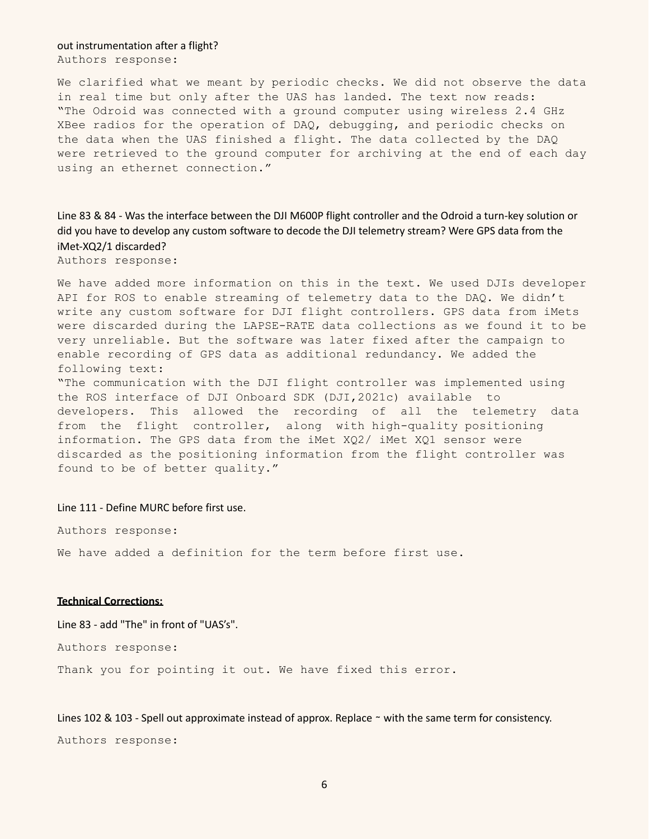#### out instrumentation after a flight?

Authors response:

We clarified what we meant by periodic checks. We did not observe the data in real time but only after the UAS has landed. The text now reads: "The Odroid was connected with a ground computer using wireless 2.4 GHz XBee radios for the operation of DAQ, debugging, and periodic checks on the data when the UAS finished a flight. The data collected by the DAQ were retrieved to the ground computer for archiving at the end of each day using an ethernet connection."

Line 83 & 84 - Was the interface between the DJI M600P flight controller and the Odroid a turn-key solution or did you have to develop any custom software to decode the DJI telemetry stream? Were GPS data from the iMet-XQ2/1 discarded?

Authors response:

We have added more information on this in the text. We used DJIs developer API for ROS to enable streaming of telemetry data to the DAQ. We didn't write any custom software for DJI flight controllers. GPS data from iMets were discarded during the LAPSE-RATE data collections as we found it to be very unreliable. But the software was later fixed after the campaign to enable recording of GPS data as additional redundancy. We added the following text:

"The communication with the DJI flight controller was implemented using the ROS interface of DJI Onboard SDK (DJI,2021c) available to developers. This allowed the recording of all the telemetry data from the flight controller, along with high-quality positioning information. The GPS data from the iMet XQ2/ iMet XQ1 sensor were discarded as the positioning information from the flight controller was found to be of better quality."

Line 111 - Define MURC before first use.

Authors response:

We have added a definition for the term before first use.

## **Technical Corrections:**

Line 83 - add "The" in front of "UAS's".

Authors response:

Thank you for pointing it out. We have fixed this error.

Lines 102 & 103 - Spell out approximate instead of approx. Replace ∼ with the same term for consistency. Authors response: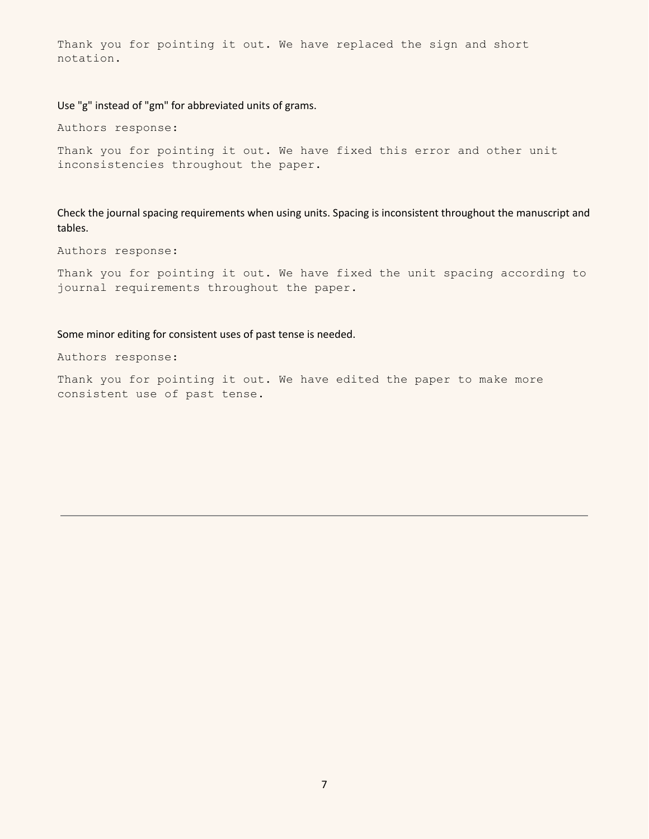Thank you for pointing it out. We have replaced the sign and short notation.

Use "g" instead of "gm" for abbreviated units of grams.

Authors response:

Thank you for pointing it out. We have fixed this error and other unit inconsistencies throughout the paper.

Check the journal spacing requirements when using units. Spacing is inconsistent throughout the manuscript and tables.

Authors response:

Thank you for pointing it out. We have fixed the unit spacing according to journal requirements throughout the paper.

Some minor editing for consistent uses of past tense is needed.

Authors response:

Thank you for pointing it out. We have edited the paper to make more consistent use of past tense.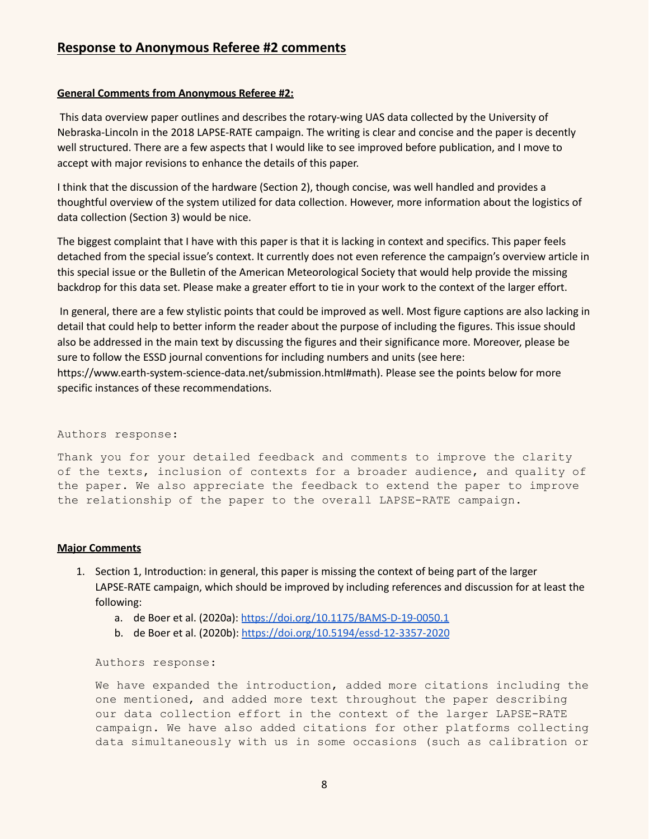# **Response to Anonymous Referee #2 comments**

# **General Comments from Anonymous Referee #2:**

This data overview paper outlines and describes the rotary-wing UAS data collected by the University of Nebraska-Lincoln in the 2018 LAPSE-RATE campaign. The writing is clear and concise and the paper is decently well structured. There are a few aspects that I would like to see improved before publication, and I move to accept with major revisions to enhance the details of this paper.

I think that the discussion of the hardware (Section 2), though concise, was well handled and provides a thoughtful overview of the system utilized for data collection. However, more information about the logistics of data collection (Section 3) would be nice.

The biggest complaint that I have with this paper is that it is lacking in context and specifics. This paper feels detached from the special issue's context. It currently does not even reference the campaign's overview article in this special issue or the Bulletin of the American Meteorological Society that would help provide the missing backdrop for this data set. Please make a greater effort to tie in your work to the context of the larger effort.

In general, there are a few stylistic points that could be improved as well. Most figure captions are also lacking in detail that could help to better inform the reader about the purpose of including the figures. This issue should also be addressed in the main text by discussing the figures and their significance more. Moreover, please be sure to follow the ESSD journal conventions for including numbers and units (see here: https://www.earth-system-science-data.net/submission.html#math). Please see the points below for more specific instances of these recommendations.

# Authors response:

Thank you for your detailed feedback and comments to improve the clarity of the texts, inclusion of contexts for a broader audience, and quality of the paper. We also appreciate the feedback to extend the paper to improve the relationship of the paper to the overall LAPSE-RATE campaign.

# **Major Comments**

- 1. Section 1, Introduction: in general, this paper is missing the context of being part of the larger LAPSE-RATE campaign, which should be improved by including references and discussion for at least the following:
	- a. de Boer et al. (2020a): <https://doi.org/10.1175/BAMS-D-19-0050.1>
	- b. de Boer et al. (2020b): <https://doi.org/10.5194/essd-12-3357-2020>

Authors response:

We have expanded the introduction, added more citations including the one mentioned, and added more text throughout the paper describing our data collection effort in the context of the larger LAPSE-RATE campaign. We have also added citations for other platforms collecting data simultaneously with us in some occasions (such as calibration or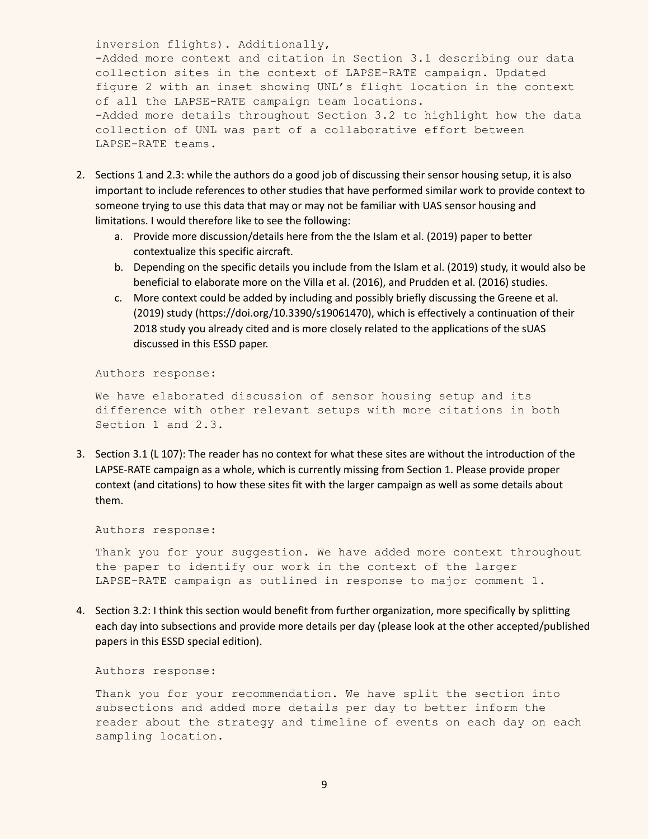inversion flights). Additionally, -Added more context and citation in Section 3.1 describing our data collection sites in the context of LAPSE-RATE campaign. Updated figure 2 with an inset showing UNL's flight location in the context of all the LAPSE-RATE campaign team locations. -Added more details throughout Section 3.2 to highlight how the data collection of UNL was part of a collaborative effort between LAPSE-RATE teams.

- 2. Sections 1 and 2.3: while the authors do a good job of discussing their sensor housing setup, it is also important to include references to other studies that have performed similar work to provide context to someone trying to use this data that may or may not be familiar with UAS sensor housing and limitations. I would therefore like to see the following:
	- a. Provide more discussion/details here from the the Islam et al. (2019) paper to better contextualize this specific aircraft.
	- b. Depending on the specific details you include from the Islam et al. (2019) study, it would also be beneficial to elaborate more on the Villa et al. (2016), and Prudden et al. (2016) studies.
	- c. More context could be added by including and possibly briefly discussing the Greene et al. (2019) study (https://doi.org/10.3390/s19061470), which is effectively a continuation of their 2018 study you already cited and is more closely related to the applications of the sUAS discussed in this ESSD paper.

Authors response:

We have elaborated discussion of sensor housing setup and its difference with other relevant setups with more citations in both Section 1 and 2.3.

3. Section 3.1 (L 107): The reader has no context for what these sites are without the introduction of the LAPSE-RATE campaign as a whole, which is currently missing from Section 1. Please provide proper context (and citations) to how these sites fit with the larger campaign as well as some details about them.

Authors response:

Thank you for your suggestion. We have added more context throughout the paper to identify our work in the context of the larger LAPSE-RATE campaign as outlined in response to major comment 1.

4. Section 3.2: I think this section would benefit from further organization, more specifically by splitting each day into subsections and provide more details per day (please look at the other accepted/published papers in this ESSD special edition).

Authors response:

Thank you for your recommendation. We have split the section into subsections and added more details per day to better inform the reader about the strategy and timeline of events on each day on each sampling location.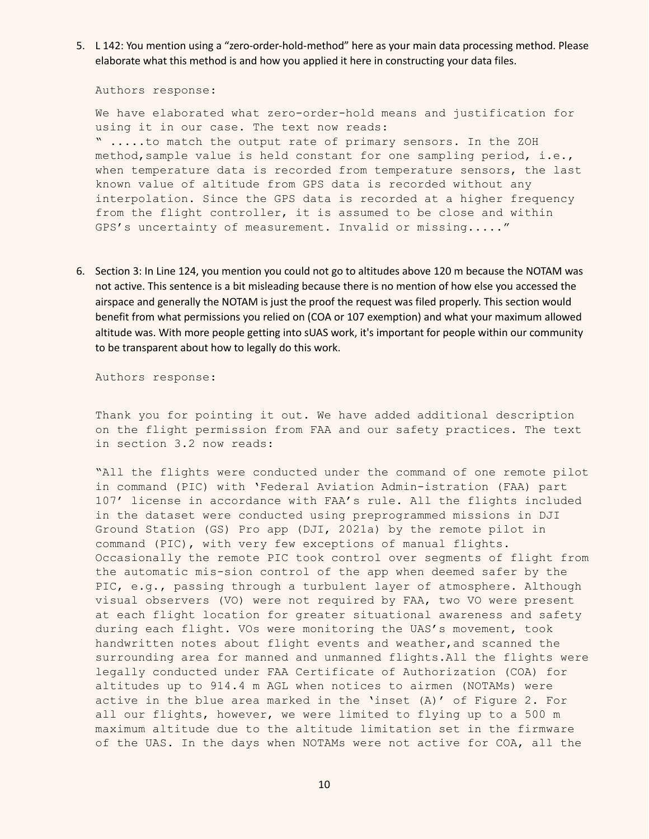5. L 142: You mention using a "zero-order-hold-method" here as your main data processing method. Please elaborate what this method is and how you applied it here in constructing your data files.

Authors response:

We have elaborated what zero-order-hold means and justification for using it in our case. The text now reads: " .....to match the output rate of primary sensors. In the ZOH method, sample value is held constant for one sampling period, i.e., when temperature data is recorded from temperature sensors, the last known value of altitude from GPS data is recorded without any interpolation. Since the GPS data is recorded at a higher frequency from the flight controller, it is assumed to be close and within GPS's uncertainty of measurement. Invalid or missing....."

6. Section 3: In Line 124, you mention you could not go to altitudes above 120 m because the NOTAM was not active. This sentence is a bit misleading because there is no mention of how else you accessed the airspace and generally the NOTAM is just the proof the request was filed properly. This section would benefit from what permissions you relied on (COA or 107 exemption) and what your maximum allowed altitude was. With more people getting into sUAS work, it's important for people within our community to be transparent about how to legally do this work.

Authors response:

Thank you for pointing it out. We have added additional description on the flight permission from FAA and our safety practices. The text in section 3.2 now reads:

"All the flights were conducted under the command of one remote pilot in command (PIC) with 'Federal Aviation Admin-istration (FAA) part 107' license in accordance with FAA's rule. All the flights included in the dataset were conducted using preprogrammed missions in DJI Ground Station (GS) Pro app (DJI, 2021a) by the remote pilot in command (PIC), with very few exceptions of manual flights. Occasionally the remote PIC took control over segments of flight from the automatic mis-sion control of the app when deemed safer by the PIC, e.g., passing through a turbulent layer of atmosphere. Although visual observers (VO) were not required by FAA, two VO were present at each flight location for greater situational awareness and safety during each flight. VOs were monitoring the UAS's movement, took handwritten notes about flight events and weather,and scanned the surrounding area for manned and unmanned flights.All the flights were legally conducted under FAA Certificate of Authorization (COA) for altitudes up to 914.4 m AGL when notices to airmen (NOTAMs) were active in the blue area marked in the 'inset (A)' of Figure 2. For all our flights, however, we were limited to flying up to a 500 m maximum altitude due to the altitude limitation set in the firmware of the UAS. In the days when NOTAMs were not active for COA, all the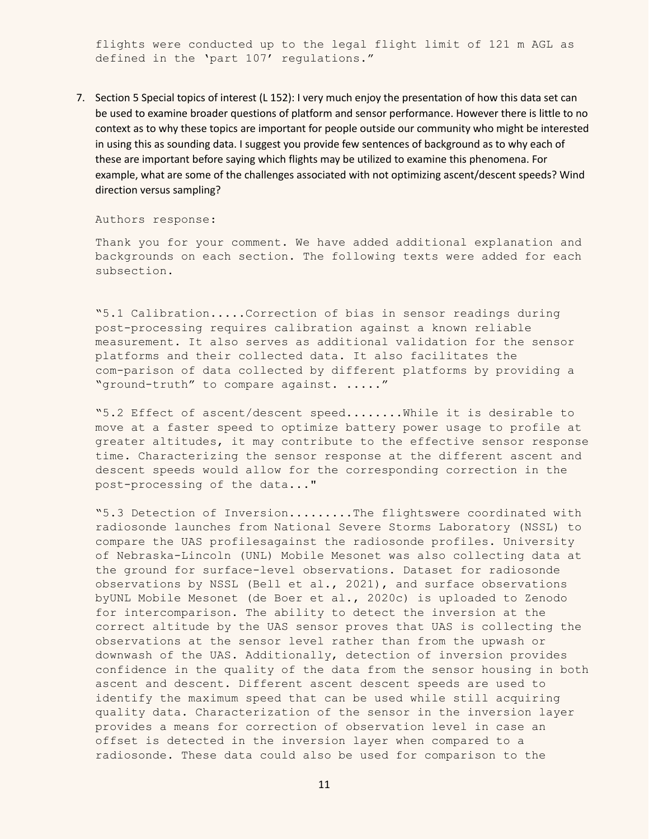flights were conducted up to the legal flight limit of 121 m AGL as defined in the 'part 107' regulations."

7. Section 5 Special topics of interest (L 152): I very much enjoy the presentation of how this data set can be used to examine broader questions of platform and sensor performance. However there is little to no context as to why these topics are important for people outside our community who might be interested in using this as sounding data. I suggest you provide few sentences of background as to why each of these are important before saying which flights may be utilized to examine this phenomena. For example, what are some of the challenges associated with not optimizing ascent/descent speeds? Wind direction versus sampling?

Authors response:

Thank you for your comment. We have added additional explanation and backgrounds on each section. The following texts were added for each subsection.

"5.1 Calibration.....Correction of bias in sensor readings during post-processing requires calibration against a known reliable measurement. It also serves as additional validation for the sensor platforms and their collected data. It also facilitates the com-parison of data collected by different platforms by providing a "ground-truth" to compare against. ....."

"5.2 Effect of ascent/descent speed........While it is desirable to move at a faster speed to optimize battery power usage to profile at greater altitudes, it may contribute to the effective sensor response time. Characterizing the sensor response at the different ascent and descent speeds would allow for the corresponding correction in the post-processing of the data..."

"5.3 Detection of Inversion.........The flightswere coordinated with radiosonde launches from National Severe Storms Laboratory (NSSL) to compare the UAS profilesagainst the radiosonde profiles. University of Nebraska-Lincoln (UNL) Mobile Mesonet was also collecting data at the ground for surface-level observations. Dataset for radiosonde observations by NSSL (Bell et al., 2021), and surface observations byUNL Mobile Mesonet (de Boer et al., 2020c) is uploaded to Zenodo for intercomparison. The ability to detect the inversion at the correct altitude by the UAS sensor proves that UAS is collecting the observations at the sensor level rather than from the upwash or downwash of the UAS. Additionally, detection of inversion provides confidence in the quality of the data from the sensor housing in both ascent and descent. Different ascent descent speeds are used to identify the maximum speed that can be used while still acquiring quality data. Characterization of the sensor in the inversion layer provides a means for correction of observation level in case an offset is detected in the inversion layer when compared to a radiosonde. These data could also be used for comparison to the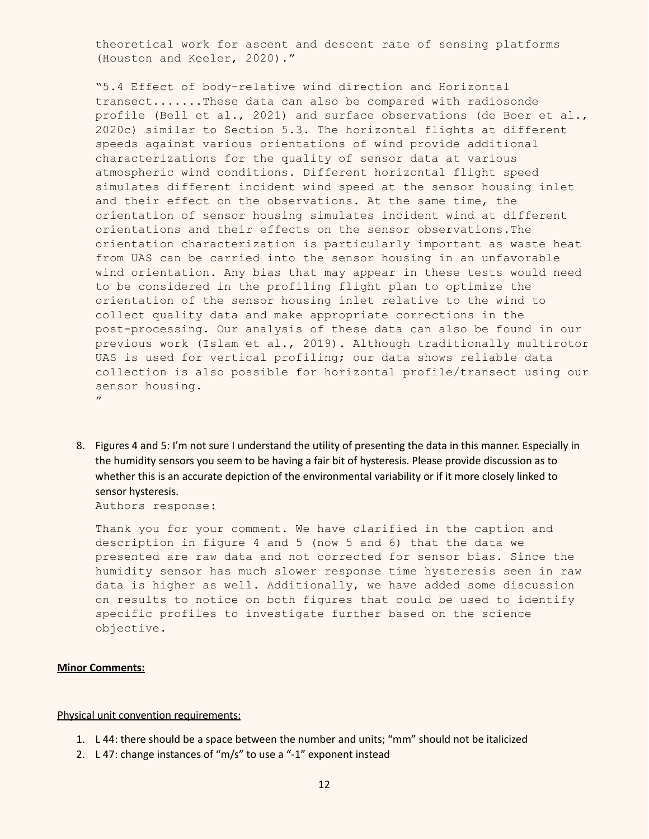theoretical work for ascent and descent rate of sensing platforms (Houston and Keeler, 2020)."

"5.4 Effect of body-relative wind direction and Horizontal transect.......These data can also be compared with radiosonde profile (Bell et al., 2021) and surface observations (de Boer et al., 2020c) similar to Section 5.3. The horizontal flights at different speeds against various orientations of wind provide additional characterizations for the quality of sensor data at various atmospheric wind conditions. Different horizontal flight speed simulates different incident wind speed at the sensor housing inlet and their effect on the observations. At the same time, the orientation of sensor housing simulates incident wind at different orientations and their effects on the sensor observations.The orientation characterization is particularly important as waste heat from UAS can be carried into the sensor housing in an unfavorable wind orientation. Any bias that may appear in these tests would need to be considered in the profiling flight plan to optimize the orientation of the sensor housing inlet relative to the wind to collect quality data and make appropriate corrections in the post-processing. Our analysis of these data can also be found in our previous work (Islam et al., 2019). Although traditionally multirotor UAS is used for vertical profiling; our data shows reliable data collection is also possible for horizontal profile/transect using our sensor housing.  $^{\prime\prime}$ 

8. Figures 4 and 5: I'm not sure I understand the utility of presenting the data in this manner. Especially in the humidity sensors you seem to be having a fair bit of hysteresis. Please provide discussion as to whether this is an accurate depiction of the environmental variability or if it more closely linked to sensor hysteresis.

Authors response:

Thank you for your comment. We have clarified in the caption and description in figure 4 and 5 (now 5 and 6) that the data we presented are raw data and not corrected for sensor bias. Since the humidity sensor has much slower response time hysteresis seen in raw data is higher as well. Additionally, we have added some discussion on results to notice on both figures that could be used to identify specific profiles to investigate further based on the science objective.

#### **Minor Comments:**

Physical unit convention requirements:

- 1. L 44: there should be a space between the number and units; "mm" should not be italicized
- 2. L 47: change instances of "m/s" to use a "-1" exponent instead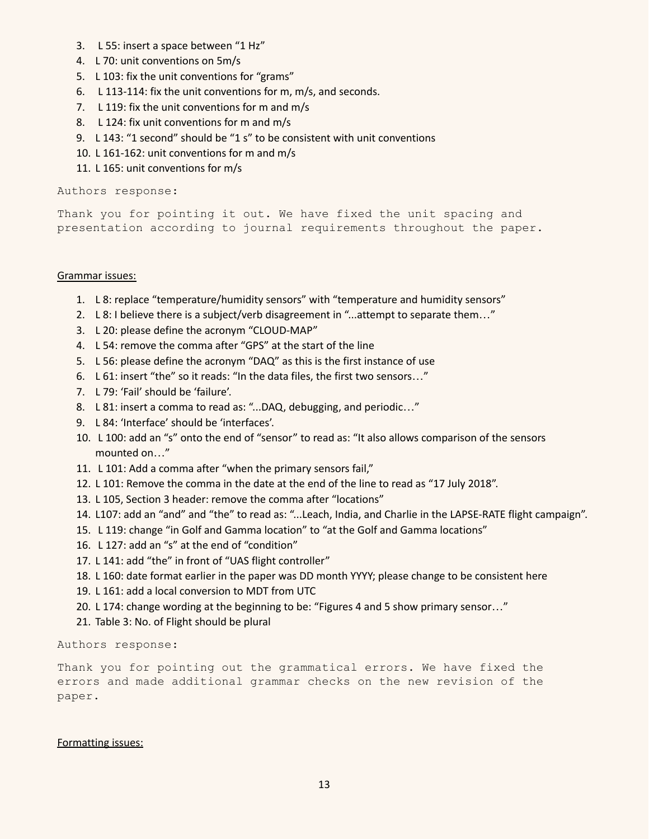- 3. L 55: insert a space between "1 Hz"
- 4. L 70: unit conventions on 5m/s
- 5. L 103: fix the unit conventions for "grams"
- 6. L 113-114: fix the unit conventions for m, m/s, and seconds.
- 7. L 119: fix the unit conventions for m and m/s
- 8. L 124: fix unit conventions for m and m/s
- 9. L 143: "1 second" should be "1 s" to be consistent with unit conventions
- 10. L 161-162: unit conventions for m and m/s
- 11. L 165: unit conventions for m/s

# Authors response:

Thank you for pointing it out. We have fixed the unit spacing and presentation according to journal requirements throughout the paper.

## Grammar issues:

- 1. L 8: replace "temperature/humidity sensors" with "temperature and humidity sensors"
- 2. L 8: I believe there is a subject/verb disagreement in "...attempt to separate them..."
- 3. L 20: please define the acronym "CLOUD-MAP"
- 4. L 54: remove the comma after "GPS" at the start of the line
- 5. L 56: please define the acronym "DAQ" as this is the first instance of use
- 6. L 61: insert "the" so it reads: "In the data files, the first two sensors…"
- 7. L 79: 'Fail' should be 'failure'.
- 8. L 81: insert a comma to read as: "...DAQ, debugging, and periodic..."
- 9. L 84: 'Interface' should be 'interfaces'.
- 10. L 100: add an "s" onto the end of "sensor" to read as: "It also allows comparison of the sensors mounted on…"
- 11. L 101: Add a comma after "when the primary sensors fail,"
- 12. L 101: Remove the comma in the date at the end of the line to read as "17 July 2018".
- 13. L 105, Section 3 header: remove the comma after "locations"
- 14. L107: add an "and" and "the" to read as: "...Leach, India, and Charlie in the LAPSE-RATE flight campaign".
- 15. L 119: change "in Golf and Gamma location" to "at the Golf and Gamma locations"
- 16. L 127: add an "s" at the end of "condition"
- 17. L 141: add "the" in front of "UAS flight controller"
- 18. L 160: date format earlier in the paper was DD month YYYY; please change to be consistent here
- 19. L 161: add a local conversion to MDT from UTC
- 20. L 174: change wording at the beginning to be: "Figures 4 and 5 show primary sensor…"
- 21. Table 3: No. of Flight should be plural

Authors response:

Thank you for pointing out the grammatical errors. We have fixed the errors and made additional grammar checks on the new revision of the paper.

# Formatting issues: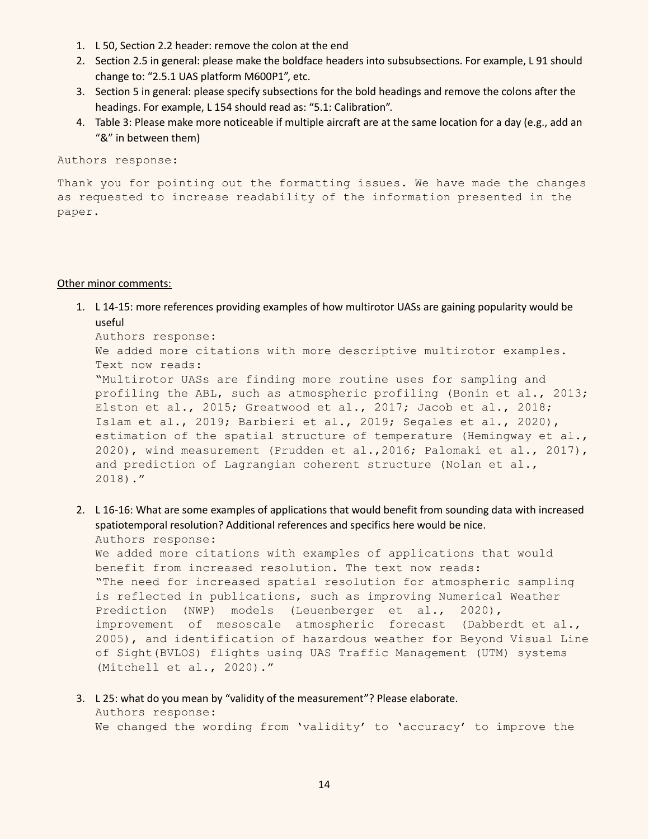- 1. L 50, Section 2.2 header: remove the colon at the end
- 2. Section 2.5 in general: please make the boldface headers into subsubsections. For example, L 91 should change to: "2.5.1 UAS platform M600P1", etc.
- 3. Section 5 in general: please specify subsections for the bold headings and remove the colons after the headings. For example, L 154 should read as: "5.1: Calibration".
- 4. Table 3: Please make more noticeable if multiple aircraft are at the same location for a day (e.g., add an "&" in between them)

Authors response:

Thank you for pointing out the formatting issues. We have made the changes as requested to increase readability of the information presented in the paper.

### Other minor comments:

1. L 14-15: more references providing examples of how multirotor UASs are gaining popularity would be useful

```
Authors response:
We added more citations with more descriptive multirotor examples.
Text now reads:
"Multirotor UASs are finding more routine uses for sampling and
profiling the ABL, such as atmospheric profiling (Bonin et al., 2013;
Elston et al., 2015; Greatwood et al., 2017; Jacob et al., 2018;
Islam et al., 2019; Barbieri et al., 2019; Segales et al., 2020),
estimation of the spatial structure of temperature (Hemingway et al.,
2020), wind measurement (Prudden et al.,2016; Palomaki et al., 2017),
and prediction of Lagrangian coherent structure (Nolan et al.,
2018)."
```
2. L 16-16: What are some examples of applications that would benefit from sounding data with increased spatiotemporal resolution? Additional references and specifics here would be nice. Authors response:

We added more citations with examples of applications that would benefit from increased resolution. The text now reads: "The need for increased spatial resolution for atmospheric sampling is reflected in publications, such as improving Numerical Weather Prediction (NWP) models (Leuenberger et al., 2020), improvement of mesoscale atmospheric forecast (Dabberdt et al., 2005), and identification of hazardous weather for Beyond Visual Line of Sight(BVLOS) flights using UAS Traffic Management (UTM) systems (Mitchell et al., 2020)."

3. L 25: what do you mean by "validity of the measurement"? Please elaborate. Authors response: We changed the wording from 'validity' to 'accuracy' to improve the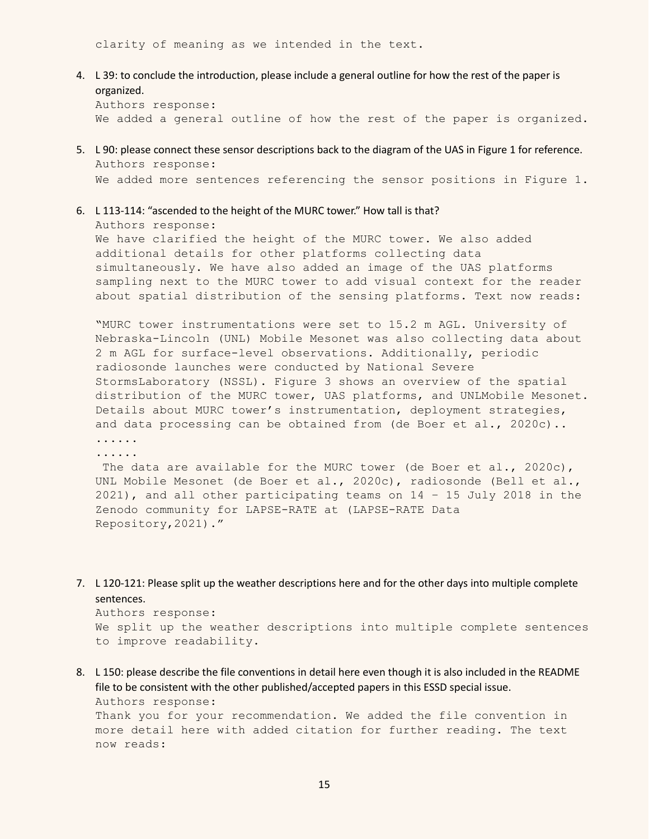clarity of meaning as we intended in the text.

4. L 39: to conclude the introduction, please include a general outline for how the rest of the paper is organized.

Authors response: We added a general outline of how the rest of the paper is organized.

- 5. L 90: please connect these sensor descriptions back to the diagram of the UAS in Figure 1 for reference. Authors response: We added more sentences referencing the sensor positions in Figure 1.
- 6. L 113-114: "ascended to the height of the MURC tower." How tall is that?

Authors response: We have clarified the height of the MURC tower. We also added additional details for other platforms collecting data simultaneously. We have also added an image of the UAS platforms sampling next to the MURC tower to add visual context for the reader about spatial distribution of the sensing platforms. Text now reads:

"MURC tower instrumentations were set to 15.2 m AGL. University of Nebraska-Lincoln (UNL) Mobile Mesonet was also collecting data about 2 m AGL for surface-level observations. Additionally, periodic radiosonde launches were conducted by National Severe StormsLaboratory (NSSL). Figure 3 shows an overview of the spatial distribution of the MURC tower, UAS platforms, and UNLMobile Mesonet. Details about MURC tower's instrumentation, deployment strategies, and data processing can be obtained from (de Boer et al., 2020c)..

...... ......

The data are available for the MURC tower (de Boer et al., 2020c), UNL Mobile Mesonet (de Boer et al., 2020c), radiosonde (Bell et al., 2021), and all other participating teams on 14 – 15 July 2018 in the Zenodo community for LAPSE-RATE at (LAPSE-RATE Data Repository,2021)."

7. L 120-121: Please split up the weather descriptions here and for the other days into multiple complete sentences.

```
Authors response:
We split up the weather descriptions into multiple complete sentences
to improve readability.
```
8. L 150: please describe the file conventions in detail here even though it is also included in the README file to be consistent with the other published/accepted papers in this ESSD special issue. Authors response:

Thank you for your recommendation. We added the file convention in more detail here with added citation for further reading. The text now reads: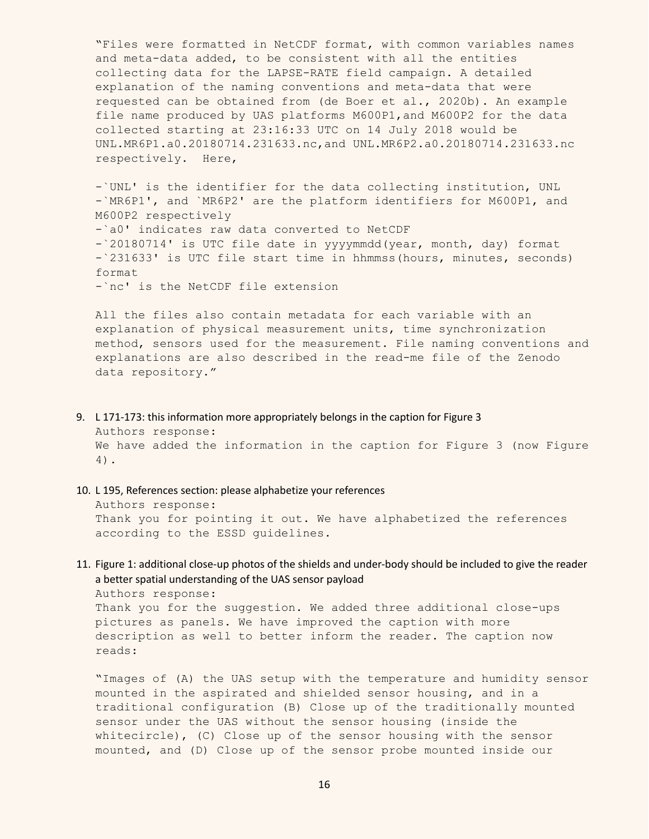"Files were formatted in NetCDF format, with common variables names and meta-data added, to be consistent with all the entities collecting data for the LAPSE-RATE field campaign. A detailed explanation of the naming conventions and meta-data that were requested can be obtained from (de Boer et al., 2020b). An example file name produced by UAS platforms M600P1,and M600P2 for the data collected starting at 23:16:33 UTC on 14 July 2018 would be UNL.MR6P1.a0.20180714.231633.nc,and UNL.MR6P2.a0.20180714.231633.nc respectively. Here,

-`UNL' is the identifier for the data collecting institution, UNL -`MR6P1', and `MR6P2' are the platform identifiers for M600P1, and M600P2 respectively -`a0' indicates raw data converted to NetCDF -`20180714' is UTC file date in yyyymmdd(year, month, day) format -`231633' is UTC file start time in hhmmss(hours, minutes, seconds) format -`nc' is the NetCDF file extension

All the files also contain metadata for each variable with an explanation of physical measurement units, time synchronization method, sensors used for the measurement. File naming conventions and explanations are also described in the read-me file of the Zenodo data repository."

- 9. L 171-173: this information more appropriately belongs in the caption for Figure 3 Authors response: We have added the information in the caption for Figure 3 (now Figure 4).
- 10. L 195, References section: please alphabetize your references Authors response: Thank you for pointing it out. We have alphabetized the references according to the ESSD guidelines.
- 11. Figure 1: additional close-up photos of the shields and under-body should be included to give the reader a better spatial understanding of the UAS sensor payload

Authors response: Thank you for the suggestion. We added three additional close-ups pictures as panels. We have improved the caption with more description as well to better inform the reader. The caption now reads:

"Images of (A) the UAS setup with the temperature and humidity sensor mounted in the aspirated and shielded sensor housing, and in a traditional configuration (B) Close up of the traditionally mounted sensor under the UAS without the sensor housing (inside the whitecircle), (C) Close up of the sensor housing with the sensor mounted, and (D) Close up of the sensor probe mounted inside our